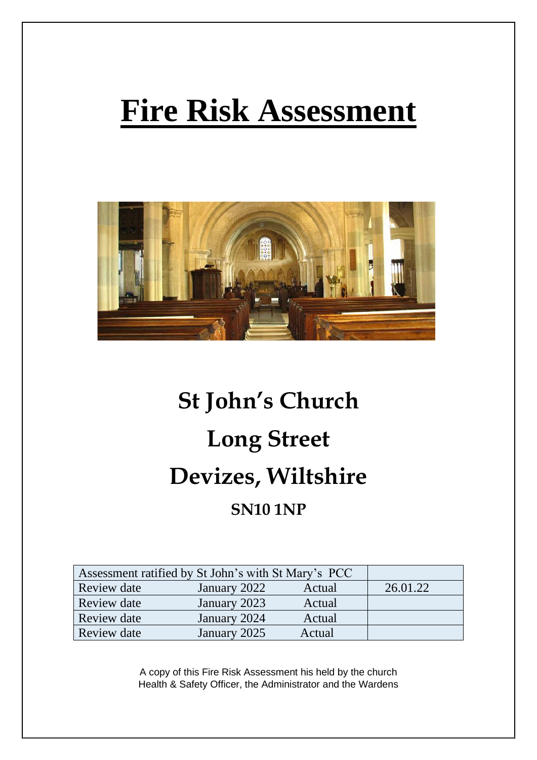# **Fire Risk Assessment**



## **St John's Church Long Street Devizes, Wiltshire SN10 1NP**

| Assessment ratified by St John's with St Mary's PCC |              |        |          |
|-----------------------------------------------------|--------------|--------|----------|
| Review date                                         | January 2022 | Actual | 26.01.22 |
| Review date                                         | January 2023 | Actual |          |
| Review date                                         | January 2024 | Actual |          |
| <b>Review date</b>                                  | January 2025 | Actual |          |

A copy of this Fire Risk Assessment his held by the church Health & Safety Officer, the Administrator and the Wardens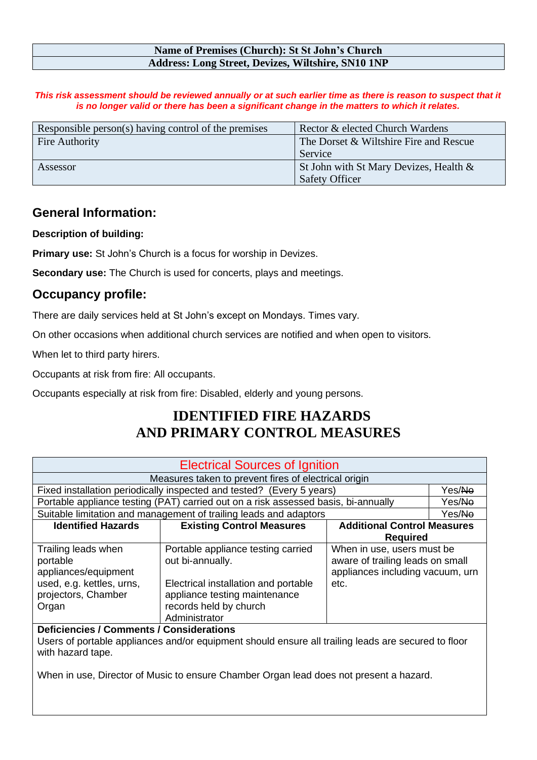#### **Name of Premises (Church): St St John's Church Address: Long Street, Devizes, Wiltshire, SN10 1NP**

This risk assessment should be reviewed annually or at such earlier time as there is reason to suspect that it *is no longer valid or there has been a significant change in the matters to which it relates.*

| Responsible person(s) having control of the premises | Rector & elected Church Wardens        |
|------------------------------------------------------|----------------------------------------|
| Fire Authority                                       | The Dorset & Wiltshire Fire and Rescue |
|                                                      | Service                                |
| Assessor                                             | St John with St Mary Devizes, Health & |
|                                                      | <b>Safety Officer</b>                  |

#### **General Information:**

**Description of building:**

**Primary use:** St John's Church is a focus for worship in Devizes.

**Secondary use:** The Church is used for concerts, plays and meetings.

#### **Occupancy profile:**

There are daily services held at St John's except on Mondays. Times vary.

On other occasions when additional church services are notified and when open to visitors.

When let to third party hirers.

Occupants at risk from fire: All occupants.

Occupants especially at risk from fire: Disabled, elderly and young persons.

### **IDENTIFIED FIRE HAZARDS AND PRIMARY CONTROL MEASURES**

| <b>Electrical Sources of Ignition</b> |                                                                                    |                                  |        |
|---------------------------------------|------------------------------------------------------------------------------------|----------------------------------|--------|
|                                       | Measures taken to prevent fires of electrical origin                               |                                  |        |
|                                       | Fixed installation periodically inspected and tested? (Every 5 years)              |                                  | Yes/No |
|                                       | Portable appliance testing (PAT) carried out on a risk assessed basis, bi-annually |                                  | Yes/No |
|                                       | Suitable limitation and management of trailing leads and adaptors                  |                                  | Yes/No |
| <b>Identified Hazards</b>             | <b>Existing Control Measures</b><br><b>Additional Control Measures</b>             |                                  |        |
|                                       |                                                                                    | <b>Required</b>                  |        |
| Trailing leads when                   | Portable appliance testing carried                                                 | When in use, users must be       |        |
| portable                              | out bi-annually.                                                                   | aware of trailing leads on small |        |
| appliances/equipment                  |                                                                                    | appliances including vacuum, urn |        |
| used, e.g. kettles, urns,             | Electrical installation and portable                                               | etc.                             |        |
| projectors, Chamber                   | appliance testing maintenance                                                      |                                  |        |
| Organ                                 | records held by church                                                             |                                  |        |
|                                       | Administrator                                                                      |                                  |        |

**Deficiencies / Comments / Considerations**  Users of portable appliances and/or equipment should ensure all trailing leads are secured to floor with hazard tape.

When in use, Director of Music to ensure Chamber Organ lead does not present a hazard.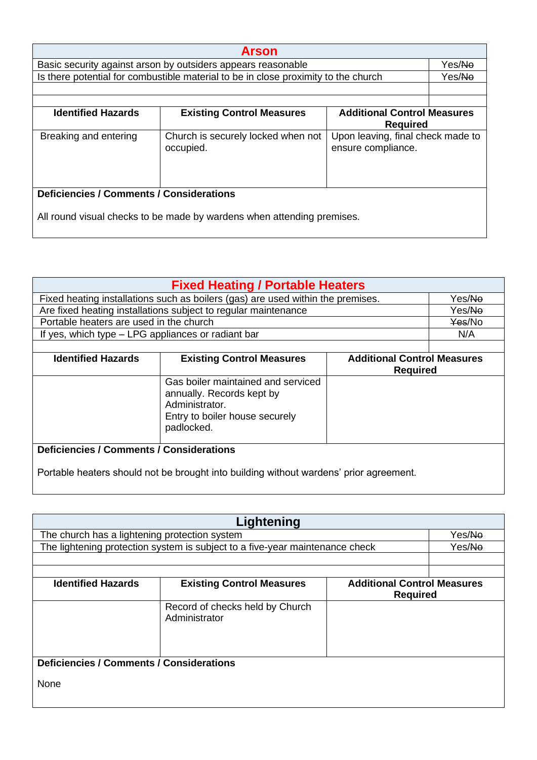| <b>Arson</b>                                                                                        |                                                                                    |                                                         |        |  |
|-----------------------------------------------------------------------------------------------------|------------------------------------------------------------------------------------|---------------------------------------------------------|--------|--|
| Basic security against arson by outsiders appears reasonable                                        |                                                                                    |                                                         | Yes/No |  |
|                                                                                                     | Is there potential for combustible material to be in close proximity to the church |                                                         | Yes/No |  |
|                                                                                                     |                                                                                    |                                                         |        |  |
| <b>Identified Hazards</b><br><b>Existing Control Measures</b><br><b>Additional Control Measures</b> |                                                                                    |                                                         |        |  |
|                                                                                                     |                                                                                    | <b>Required</b>                                         |        |  |
| Breaking and entering                                                                               | Church is securely locked when not<br>occupied.                                    | Upon leaving, final check made to<br>ensure compliance. |        |  |
| <b>Deficiencies / Comments / Considerations</b>                                                     |                                                                                    |                                                         |        |  |
| All round visual checks to be made by wardens when attending premises.                              |                                                                                    |                                                         |        |  |

| <b>Fixed Heating / Portable Heaters</b>                                                                                           |                                                                |                                                       |        |
|-----------------------------------------------------------------------------------------------------------------------------------|----------------------------------------------------------------|-------------------------------------------------------|--------|
| Fixed heating installations such as boilers (gas) are used within the premises.                                                   |                                                                | Yes/ <del>No</del>                                    |        |
|                                                                                                                                   | Are fixed heating installations subject to regular maintenance |                                                       |        |
| Portable heaters are used in the church                                                                                           |                                                                |                                                       | Yes/No |
| If yes, which type – LPG appliances or radiant bar                                                                                |                                                                |                                                       | N/A    |
|                                                                                                                                   |                                                                |                                                       |        |
| <b>Identified Hazards</b>                                                                                                         | <b>Existing Control Measures</b>                               | <b>Additional Control Measures</b><br><b>Required</b> |        |
| Gas boiler maintained and serviced<br>annually. Records kept by<br>Administrator.<br>Entry to boiler house securely<br>padlocked. |                                                                |                                                       |        |
| <b>Deficiencies / Comments / Considerations</b>                                                                                   |                                                                |                                                       |        |
| Portable heaters should not be brought into building without wardens' prior agreement.                                            |                                                                |                                                       |        |

| Lightening                                      |                                                                              |                                                       |                    |
|-------------------------------------------------|------------------------------------------------------------------------------|-------------------------------------------------------|--------------------|
| The church has a lightening protection system   |                                                                              |                                                       | Yes/ <del>No</del> |
|                                                 | The lightening protection system is subject to a five-year maintenance check |                                                       | Yes/ <del>No</del> |
|                                                 |                                                                              |                                                       |                    |
|                                                 |                                                                              |                                                       |                    |
| <b>Identified Hazards</b>                       | <b>Existing Control Measures</b>                                             | <b>Additional Control Measures</b><br><b>Required</b> |                    |
|                                                 | Record of checks held by Church<br>Administrator                             |                                                       |                    |
| <b>Deficiencies / Comments / Considerations</b> |                                                                              |                                                       |                    |
| None                                            |                                                                              |                                                       |                    |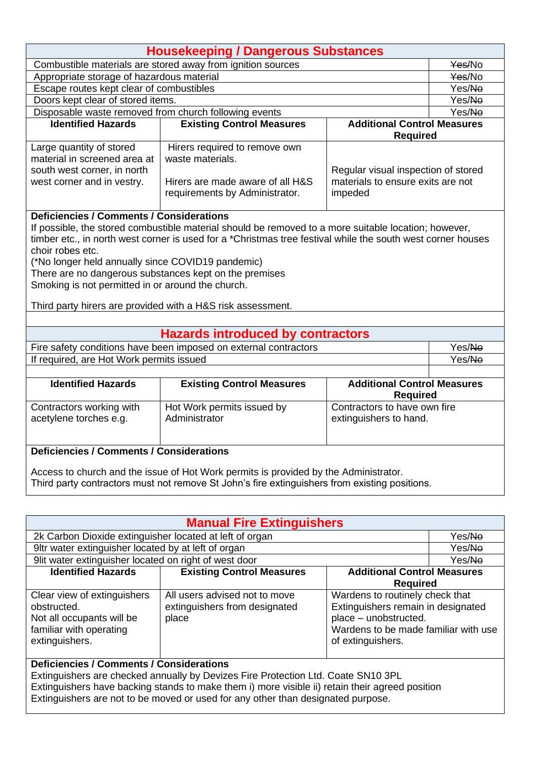| <b>Housekeeping / Dangerous Substances</b>                                                                                                                                                                                                                                                                                                                                                                                                                                                                                                                                                                                                                                                                    |                                  |                                     |        |
|---------------------------------------------------------------------------------------------------------------------------------------------------------------------------------------------------------------------------------------------------------------------------------------------------------------------------------------------------------------------------------------------------------------------------------------------------------------------------------------------------------------------------------------------------------------------------------------------------------------------------------------------------------------------------------------------------------------|----------------------------------|-------------------------------------|--------|
| Combustible materials are stored away from ignition sources                                                                                                                                                                                                                                                                                                                                                                                                                                                                                                                                                                                                                                                   |                                  |                                     | Yes/No |
| Appropriate storage of hazardous material                                                                                                                                                                                                                                                                                                                                                                                                                                                                                                                                                                                                                                                                     |                                  |                                     | Yes/No |
| Escape routes kept clear of combustibles                                                                                                                                                                                                                                                                                                                                                                                                                                                                                                                                                                                                                                                                      |                                  |                                     | Yes/No |
| Doors kept clear of stored items.                                                                                                                                                                                                                                                                                                                                                                                                                                                                                                                                                                                                                                                                             |                                  |                                     | Yes/No |
| Disposable waste removed from church following events                                                                                                                                                                                                                                                                                                                                                                                                                                                                                                                                                                                                                                                         |                                  |                                     | Yes/No |
| <b>Identified Hazards</b>                                                                                                                                                                                                                                                                                                                                                                                                                                                                                                                                                                                                                                                                                     | <b>Existing Control Measures</b> | <b>Additional Control Measures</b>  |        |
|                                                                                                                                                                                                                                                                                                                                                                                                                                                                                                                                                                                                                                                                                                               |                                  | <b>Required</b>                     |        |
| Large quantity of stored                                                                                                                                                                                                                                                                                                                                                                                                                                                                                                                                                                                                                                                                                      | Hirers required to remove own    |                                     |        |
| material in screened area at                                                                                                                                                                                                                                                                                                                                                                                                                                                                                                                                                                                                                                                                                  | waste materials.                 |                                     |        |
| south west corner, in north                                                                                                                                                                                                                                                                                                                                                                                                                                                                                                                                                                                                                                                                                   |                                  | Regular visual inspection of stored |        |
| west corner and in vestry.                                                                                                                                                                                                                                                                                                                                                                                                                                                                                                                                                                                                                                                                                    | Hirers are made aware of all H&S | materials to ensure exits are not   |        |
|                                                                                                                                                                                                                                                                                                                                                                                                                                                                                                                                                                                                                                                                                                               | requirements by Administrator.   | impeded                             |        |
| <b>Deficiencies / Comments / Considerations</b><br>If possible, the stored combustible material should be removed to a more suitable location; however,<br>timber etc., in north west corner is used for a *Christmas tree festival while the south west corner houses<br>choir robes etc.<br>(*No longer held annually since COVID19 pandemic)<br>There are no dangerous substances kept on the premises<br>Smoking is not permitted in or around the church.<br>Third party hirers are provided with a H&S risk assessment.<br><b>Hazards introduced by contractors</b><br>Fire safety conditions have been imposed on external contractors<br>Yes/No<br>If required, are Hot Work permits issued<br>Yes/No |                                  |                                     |        |
| <b>Identified Hazards</b>                                                                                                                                                                                                                                                                                                                                                                                                                                                                                                                                                                                                                                                                                     | <b>Existing Control Measures</b> | <b>Additional Control Measures</b>  |        |
|                                                                                                                                                                                                                                                                                                                                                                                                                                                                                                                                                                                                                                                                                                               |                                  | <b>Required</b>                     |        |
| Contractors working with                                                                                                                                                                                                                                                                                                                                                                                                                                                                                                                                                                                                                                                                                      | Hot Work permits issued by       | Contractors to have own fire        |        |
| acetylene torches e.g.                                                                                                                                                                                                                                                                                                                                                                                                                                                                                                                                                                                                                                                                                        | Administrator                    | extinguishers to hand.              |        |
|                                                                                                                                                                                                                                                                                                                                                                                                                                                                                                                                                                                                                                                                                                               |                                  |                                     |        |
|                                                                                                                                                                                                                                                                                                                                                                                                                                                                                                                                                                                                                                                                                                               |                                  |                                     |        |
| <b>Deficiencies / Comments / Considerations</b>                                                                                                                                                                                                                                                                                                                                                                                                                                                                                                                                                                                                                                                               |                                  |                                     |        |
| Access to church and the issue of Hot Work permits is provided by the Administrator.<br>Third party contractors must not remove St John's fire extinguishers from existing positions.                                                                                                                                                                                                                                                                                                                                                                                                                                                                                                                         |                                  |                                     |        |

| <b>Manual Fire Extinguishers</b>                                                                                                                                                                                                                                                                                            |                                                                         |                                                                                                                                                             |                    |
|-----------------------------------------------------------------------------------------------------------------------------------------------------------------------------------------------------------------------------------------------------------------------------------------------------------------------------|-------------------------------------------------------------------------|-------------------------------------------------------------------------------------------------------------------------------------------------------------|--------------------|
| 2k Carbon Dioxide extinguisher located at left of organ                                                                                                                                                                                                                                                                     |                                                                         |                                                                                                                                                             | Yes/Ne             |
| 9ltr water extinguisher located by at left of organ                                                                                                                                                                                                                                                                         |                                                                         |                                                                                                                                                             | Yes/ <del>No</del> |
| 9lit water extinguisher located on right of west door                                                                                                                                                                                                                                                                       |                                                                         |                                                                                                                                                             | Yes/Ne             |
| <b>Identified Hazards</b><br><b>Existing Control Measures</b><br><b>Additional Control Measures</b><br><b>Required</b>                                                                                                                                                                                                      |                                                                         |                                                                                                                                                             |                    |
| Clear view of extinguishers<br>obstructed.<br>Not all occupants will be<br>familiar with operating<br>extinguishers.                                                                                                                                                                                                        | All users advised not to move<br>extinguishers from designated<br>place | Wardens to routinely check that<br>Extinguishers remain in designated<br>place - unobstructed.<br>Wardens to be made familiar with use<br>of extinguishers. |                    |
| <b>Deficiencies / Comments / Considerations</b><br>Extinguishers are checked annually by Devizes Fire Protection Ltd. Coate SN10 3PL<br>Extinguishers have backing stands to make them i) more visible ii) retain their agreed position<br>Extinguishers are not to be moved or used for any other than designated purpose. |                                                                         |                                                                                                                                                             |                    |